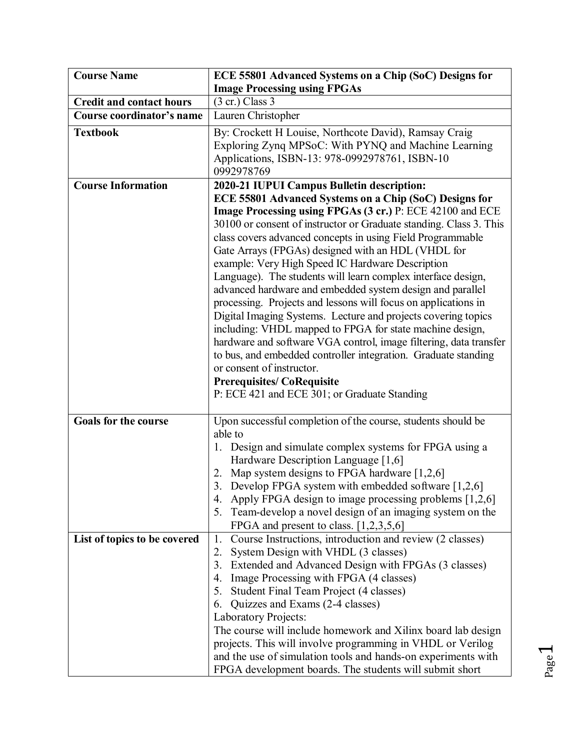| <b>Course Name</b>              | ECE 55801 Advanced Systems on a Chip (SoC) Designs for                                                                                                                                                                                                                                                                                                                                                                                                                                                                                                                                                                                                                                                                                                                                                                                                                                                                                                |
|---------------------------------|-------------------------------------------------------------------------------------------------------------------------------------------------------------------------------------------------------------------------------------------------------------------------------------------------------------------------------------------------------------------------------------------------------------------------------------------------------------------------------------------------------------------------------------------------------------------------------------------------------------------------------------------------------------------------------------------------------------------------------------------------------------------------------------------------------------------------------------------------------------------------------------------------------------------------------------------------------|
|                                 | <b>Image Processing using FPGAs</b>                                                                                                                                                                                                                                                                                                                                                                                                                                                                                                                                                                                                                                                                                                                                                                                                                                                                                                                   |
| <b>Credit and contact hours</b> | $(3 \text{ cr.})$ Class 3                                                                                                                                                                                                                                                                                                                                                                                                                                                                                                                                                                                                                                                                                                                                                                                                                                                                                                                             |
| Course coordinator's name       | Lauren Christopher                                                                                                                                                                                                                                                                                                                                                                                                                                                                                                                                                                                                                                                                                                                                                                                                                                                                                                                                    |
| <b>Textbook</b>                 | By: Crockett H Louise, Northcote David), Ramsay Craig<br>Exploring Zynq MPSoC: With PYNQ and Machine Learning<br>Applications, ISBN-13: 978-0992978761, ISBN-10<br>0992978769                                                                                                                                                                                                                                                                                                                                                                                                                                                                                                                                                                                                                                                                                                                                                                         |
| <b>Course Information</b>       | 2020-21 IUPUI Campus Bulletin description:                                                                                                                                                                                                                                                                                                                                                                                                                                                                                                                                                                                                                                                                                                                                                                                                                                                                                                            |
|                                 | ECE 55801 Advanced Systems on a Chip (SoC) Designs for<br>Image Processing using FPGAs (3 cr.) P: ECE 42100 and ECE<br>30100 or consent of instructor or Graduate standing. Class 3. This<br>class covers advanced concepts in using Field Programmable<br>Gate Arrays (FPGAs) designed with an HDL (VHDL for<br>example: Very High Speed IC Hardware Description<br>Language). The students will learn complex interface design,<br>advanced hardware and embedded system design and parallel<br>processing. Projects and lessons will focus on applications in<br>Digital Imaging Systems. Lecture and projects covering topics<br>including: VHDL mapped to FPGA for state machine design,<br>hardware and software VGA control, image filtering, data transfer<br>to bus, and embedded controller integration. Graduate standing<br>or consent of instructor.<br><b>Prerequisites/CoRequisite</b><br>P: ECE 421 and ECE 301; or Graduate Standing |
| <b>Goals for the course</b>     | Upon successful completion of the course, students should be<br>able to<br>1. Design and simulate complex systems for FPGA using a<br>Hardware Description Language [1,6]<br>2. Map system designs to FPGA hardware $[1,2,6]$<br>3. Develop FPGA system with embedded software [1,2,6]<br>Apply FPGA design to image processing problems [1,2,6]<br>4.<br>Team-develop a novel design of an imaging system on the<br>5.<br>FPGA and present to class. $[1,2,3,5,6]$                                                                                                                                                                                                                                                                                                                                                                                                                                                                                   |
| List of topics to be covered    | Course Instructions, introduction and review (2 classes)<br>1.<br>System Design with VHDL (3 classes)<br>2.<br>3. Extended and Advanced Design with FPGAs (3 classes)<br>4. Image Processing with FPGA (4 classes)<br>5. Student Final Team Project (4 classes)<br>Quizzes and Exams (2-4 classes)<br>6.<br><b>Laboratory Projects:</b><br>The course will include homework and Xilinx board lab design<br>projects. This will involve programming in VHDL or Verilog<br>and the use of simulation tools and hands-on experiments with<br>FPGA development boards. The students will submit short                                                                                                                                                                                                                                                                                                                                                     |